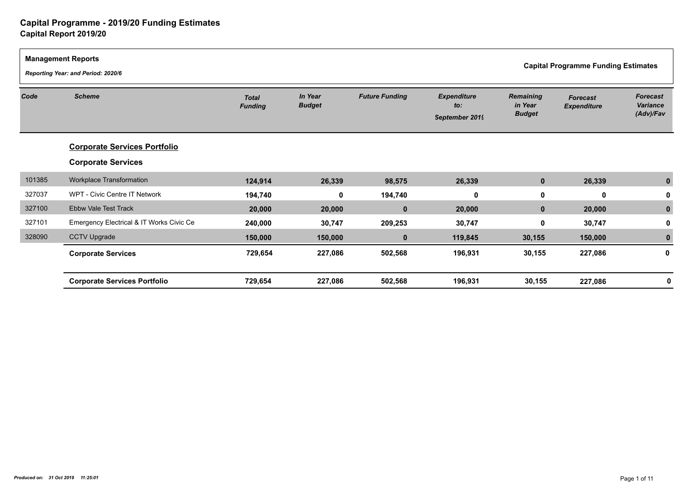| <b>Management Reports</b> | Reporting Year: and Period: 2020/6       |                                |                          |                       |                                             | <b>Capital Programme Funding Estimates</b>   |                                       |                                          |  |
|---------------------------|------------------------------------------|--------------------------------|--------------------------|-----------------------|---------------------------------------------|----------------------------------------------|---------------------------------------|------------------------------------------|--|
| Code                      | <b>Scheme</b>                            | <b>Total</b><br><b>Funding</b> | In Year<br><b>Budget</b> | <b>Future Funding</b> | <b>Expenditure</b><br>to:<br>September 2019 | <b>Remaining</b><br>in Year<br><b>Budget</b> | <b>Forecast</b><br><b>Expenditure</b> | <b>Forecast</b><br>Variance<br>(Adv)/Fav |  |
|                           | <b>Corporate Services Portfolio</b>      |                                |                          |                       |                                             |                                              |                                       |                                          |  |
|                           | <b>Corporate Services</b>                |                                |                          |                       |                                             |                                              |                                       |                                          |  |
| 101385                    | Workplace Transformation                 | 124,914                        | 26,339                   | 98,575                | 26,339                                      | $\mathbf{0}$                                 | 26,339                                |                                          |  |
| 327037                    | WPT - Civic Centre IT Network            | 194,740                        | 0                        | 194,740               | 0                                           | 0                                            | 0                                     |                                          |  |
| 327100                    | <b>Ebbw Vale Test Track</b>              | 20,000                         | 20,000                   | $\mathbf 0$           | 20,000                                      | $\mathbf{0}$                                 | 20,000                                |                                          |  |
| 327101                    | Emergency Electrical & IT Works Civic Ce | 240,000                        | 30,747                   | 209,253               | 30,747                                      | $\mathbf{0}$                                 | 30,747                                |                                          |  |
| 328090                    | <b>CCTV Upgrade</b>                      | 150,000                        | 150,000                  | $\mathbf 0$           | 119,845                                     | 30,155                                       | 150,000                               |                                          |  |
|                           | <b>Corporate Services</b>                | 729,654                        | 227,086                  | 502,568               | 196,931                                     | 30,155                                       | 227,086                               | 0                                        |  |
|                           | <b>Corporate Services Portfolio</b>      | 729,654                        | 227,086                  | 502,568               | 196,931                                     | 30,155                                       | 227,086                               |                                          |  |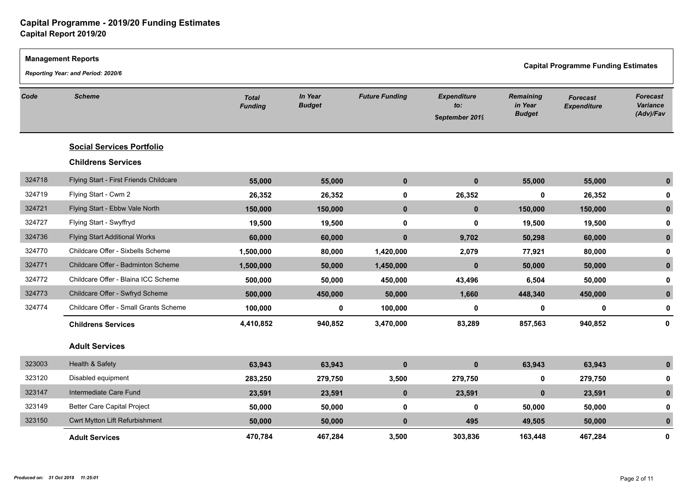|        | <b>Management Reports</b><br>Reporting Year: and Period: 2020/6 |                                |                          |                       |                                             | <b>Capital Programme Funding Estimates</b>   |                                       |                                          |  |
|--------|-----------------------------------------------------------------|--------------------------------|--------------------------|-----------------------|---------------------------------------------|----------------------------------------------|---------------------------------------|------------------------------------------|--|
| Code   | <b>Scheme</b>                                                   | <b>Total</b><br><b>Funding</b> | In Year<br><b>Budget</b> | <b>Future Funding</b> | <b>Expenditure</b><br>to:<br>September 2019 | <b>Remaining</b><br>in Year<br><b>Budget</b> | <b>Forecast</b><br><b>Expenditure</b> | <b>Forecast</b><br>Variance<br>(Adv)/Fav |  |
|        | <b>Social Services Portfolio</b>                                |                                |                          |                       |                                             |                                              |                                       |                                          |  |
|        | <b>Childrens Services</b>                                       |                                |                          |                       |                                             |                                              |                                       |                                          |  |
| 324718 | Flying Start - First Friends Childcare                          | 55,000                         | 55,000                   | $\pmb{0}$             | $\mathbf 0$                                 | 55,000                                       | 55,000                                | $\mathbf{0}$                             |  |
| 324719 | Flying Start - Cwm 2                                            | 26,352                         | 26,352                   | $\mathbf 0$           | 26,352                                      | $\mathbf 0$                                  | 26,352                                |                                          |  |
| 324721 | Flying Start - Ebbw Vale North                                  | 150,000                        | 150,000                  | $\mathbf 0$           | $\mathbf 0$                                 | 150,000                                      | 150,000                               | $\mathbf{0}$                             |  |
| 324727 | Flying Start - Swyffryd                                         | 19,500                         | 19,500                   | $\mathbf 0$           | 0                                           | 19,500                                       | 19,500                                | 0                                        |  |
| 324736 | <b>Flying Start Additional Works</b>                            | 60,000                         | 60,000                   | $\mathbf 0$           | 9,702                                       | 50,298                                       | 60,000                                | $\mathbf{0}$                             |  |
| 324770 | Childcare Offer - Sixbells Scheme                               | 1,500,000                      | 80,000                   | 1,420,000             | 2,079                                       | 77,921                                       | 80,000                                | 0                                        |  |
| 324771 | Childcare Offer - Badminton Scheme                              | 1,500,000                      | 50,000                   | 1,450,000             | $\mathbf{0}$                                | 50,000                                       | 50,000                                | 0                                        |  |
| 324772 | Childcare Offer - Blaina ICC Scheme                             | 500,000                        | 50,000                   | 450,000               | 43,496                                      | 6,504                                        | 50,000                                | 0                                        |  |
| 324773 | Childcare Offer - Swfryd Scheme                                 | 500,000                        | 450,000                  | 50,000                | 1,660                                       | 448,340                                      | 450,000                               | $\mathbf{0}$                             |  |
| 324774 | Childcare Offer - Small Grants Scheme                           | 100,000                        | 0                        | 100,000               | 0                                           | 0                                            | $\mathbf 0$                           | 0                                        |  |
|        | <b>Childrens Services</b>                                       | 4,410,852                      | 940,852                  | 3,470,000             | 83,289                                      | 857,563                                      | 940,852                               | $\mathbf 0$                              |  |
|        | <b>Adult Services</b>                                           |                                |                          |                       |                                             |                                              |                                       |                                          |  |
| 323003 | Health & Safety                                                 | 63,943                         | 63,943                   | $\pmb{0}$             | $\mathbf{0}$                                | 63,943                                       | 63,943                                | $\mathbf{0}$                             |  |
| 323120 | Disabled equipment                                              | 283,250                        | 279,750                  | 3,500                 | 279,750                                     | $\mathbf 0$                                  | 279,750                               | 0                                        |  |
| 323147 | Intermediate Care Fund                                          | 23,591                         | 23,591                   | $\mathbf 0$           | 23,591                                      | $\mathbf 0$                                  | 23,591                                | $\mathbf{0}$                             |  |
| 323149 | Better Care Capital Project                                     | 50,000                         | 50,000                   | $\mathbf 0$           | 0                                           | 50,000                                       | 50,000                                | 0                                        |  |
| 323150 | Cwrt Mytton Lift Refurbishment                                  | 50,000                         | 50,000                   | $\pmb{0}$             | 495                                         | 49,505                                       | 50,000                                | $\mathbf{0}$                             |  |
|        | <b>Adult Services</b>                                           | 470,784                        | 467,284                  | 3,500                 | 303,836                                     | 163.448                                      | 467,284                               | $\mathbf{0}$                             |  |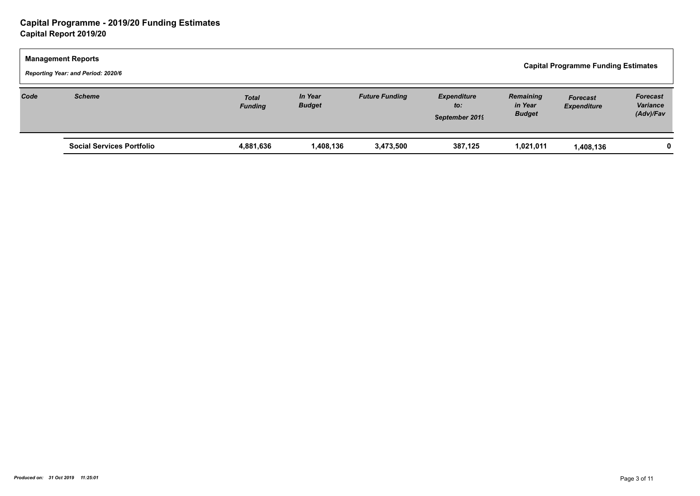| <b>Management Reports</b><br>Reporting Year: and Period: 2020/6 |                                  |                                |                                 |                       |                                             | <b>Capital Programme Funding Estimates</b> |                                       |                                          |  |
|-----------------------------------------------------------------|----------------------------------|--------------------------------|---------------------------------|-----------------------|---------------------------------------------|--------------------------------------------|---------------------------------------|------------------------------------------|--|
| Code                                                            | <b>Scheme</b>                    | <b>Total</b><br><b>Funding</b> | <b>In Year</b><br><b>Budget</b> | <b>Future Funding</b> | <b>Expenditure</b><br>to:<br>September 2019 | Remaining<br>in Year<br><b>Budget</b>      | <b>Forecast</b><br><b>Expenditure</b> | <b>Forecast</b><br>Variance<br>(Adv)/Fav |  |
|                                                                 | <b>Social Services Portfolio</b> | 4,881,636                      | 1,408,136                       | 3,473,500             | 387,125                                     | 1,021,011                                  | 1,408,136                             |                                          |  |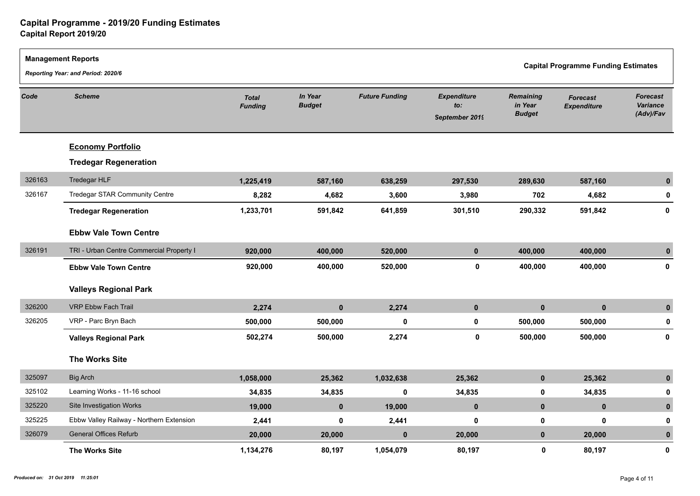|        | <b>Management Reports</b><br>Reporting Year: and Period: 2020/6 |                                |                          |                       |                                             |                                              | <b>Capital Programme Funding Estimates</b> |                                          |  |
|--------|-----------------------------------------------------------------|--------------------------------|--------------------------|-----------------------|---------------------------------------------|----------------------------------------------|--------------------------------------------|------------------------------------------|--|
| Code   | <b>Scheme</b>                                                   | <b>Total</b><br><b>Funding</b> | In Year<br><b>Budget</b> | <b>Future Funding</b> | <b>Expenditure</b><br>to:<br>September 2019 | <b>Remaining</b><br>in Year<br><b>Budget</b> | <b>Forecast</b><br><b>Expenditure</b>      | <b>Forecast</b><br>Variance<br>(Adv)/Fav |  |
|        | <b>Economy Portfolio</b>                                        |                                |                          |                       |                                             |                                              |                                            |                                          |  |
|        | <b>Tredegar Regeneration</b>                                    |                                |                          |                       |                                             |                                              |                                            |                                          |  |
| 326163 | Tredegar HLF                                                    | 1,225,419                      | 587,160                  | 638,259               | 297,530                                     | 289,630                                      | 587,160                                    | $\mathbf{0}$                             |  |
| 326167 | Tredegar STAR Community Centre                                  | 8,282                          | 4,682                    | 3,600                 | 3,980                                       | 702                                          | 4,682                                      | 0                                        |  |
|        | <b>Tredegar Regeneration</b>                                    | 1,233,701                      | 591,842                  | 641,859               | 301,510                                     | 290,332                                      | 591,842                                    | 0                                        |  |
|        | <b>Ebbw Vale Town Centre</b>                                    |                                |                          |                       |                                             |                                              |                                            |                                          |  |
| 326191 | TRI - Urban Centre Commercial Property I                        | 920,000                        | 400,000                  | 520,000               | $\mathbf 0$                                 | 400,000                                      | 400,000                                    | $\mathbf{0}$                             |  |
|        | <b>Ebbw Vale Town Centre</b>                                    | 920,000                        | 400,000                  | 520,000               | 0                                           | 400,000                                      | 400,000                                    | 0                                        |  |
|        | <b>Valleys Regional Park</b>                                    |                                |                          |                       |                                             |                                              |                                            |                                          |  |
| 326200 | <b>VRP Ebbw Fach Trail</b>                                      | 2,274                          | $\mathbf{0}$             | 2,274                 | $\mathbf 0$                                 | $\mathbf{0}$                                 | $\mathbf{0}$                               | $\mathbf{0}$                             |  |
| 326205 | VRP - Parc Bryn Bach                                            | 500,000                        | 500,000                  | $\pmb{0}$             | 0                                           | 500,000                                      | 500,000                                    | 0                                        |  |
|        | <b>Valleys Regional Park</b>                                    | 502,274                        | 500,000                  | 2,274                 | $\mathbf 0$                                 | 500,000                                      | 500,000                                    | 0                                        |  |
|        | <b>The Works Site</b>                                           |                                |                          |                       |                                             |                                              |                                            |                                          |  |
| 325097 | <b>Big Arch</b>                                                 | 1,058,000                      | 25,362                   | 1,032,638             | 25,362                                      | $\mathbf 0$                                  | 25,362                                     | $\mathbf{0}$                             |  |
| 325102 | Learning Works - 11-16 school                                   | 34,835                         | 34,835                   | $\mathbf 0$           | 34,835                                      | $\mathbf 0$                                  | 34,835                                     | 0                                        |  |
| 325220 | Site Investigation Works                                        | 19,000                         | $\mathbf{0}$             | 19,000                | $\mathbf 0$                                 | $\mathbf 0$                                  | $\mathbf 0$                                | $\mathbf{0}$                             |  |
| 325225 | Ebbw Valley Railway - Northern Extension                        | 2,441                          | $\mathbf 0$              | 2,441                 | $\mathbf 0$                                 | $\mathbf 0$                                  | $\mathbf 0$                                | $\mathbf 0$                              |  |
| 326079 | <b>General Offices Refurb</b>                                   | 20,000                         | 20,000                   | $\mathbf 0$           | 20,000                                      | $\mathbf 0$                                  | 20,000                                     | $\mathbf{0}$                             |  |
|        | The Works Site                                                  | 1,134,276                      | 80,197                   | 1,054,079             | 80,197                                      | $\mathbf 0$                                  | 80,197                                     | 0                                        |  |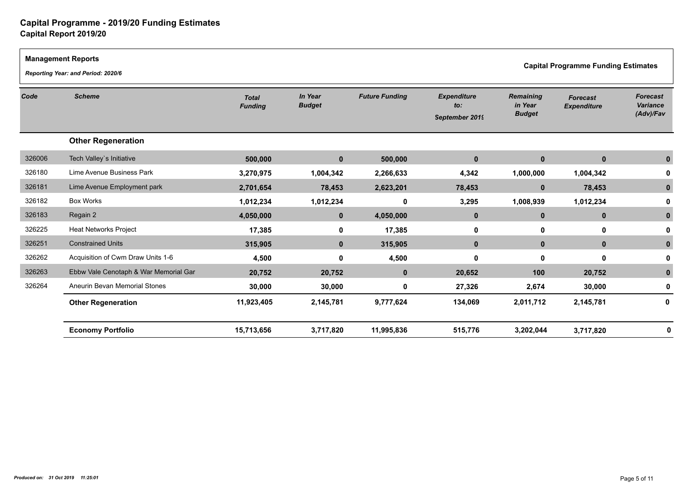$\Gamma$ 

|        | <b>Management Reports</b><br><b>Capital Programme Funding Estimates</b><br>Reporting Year: and Period: 2020/6 |                                |                          |                       |                                             |                                              |                                       |                                                 |  |  |
|--------|---------------------------------------------------------------------------------------------------------------|--------------------------------|--------------------------|-----------------------|---------------------------------------------|----------------------------------------------|---------------------------------------|-------------------------------------------------|--|--|
| Code   | <b>Scheme</b>                                                                                                 | <b>Total</b><br><b>Funding</b> | In Year<br><b>Budget</b> | <b>Future Funding</b> | <b>Expenditure</b><br>to:<br>September 2019 | <b>Remaining</b><br>in Year<br><b>Budget</b> | <b>Forecast</b><br><b>Expenditure</b> | <b>Forecast</b><br><b>Variance</b><br>(Adv)/Fav |  |  |
|        | <b>Other Regeneration</b>                                                                                     |                                |                          |                       |                                             |                                              |                                       |                                                 |  |  |
| 326006 | Tech Valley's Initiative                                                                                      | 500,000                        | $\mathbf{0}$             | 500,000               | $\mathbf{0}$                                | $\mathbf{0}$                                 | $\mathbf{0}$                          |                                                 |  |  |
| 326180 | Lime Avenue Business Park                                                                                     | 3,270,975                      | 1,004,342                | 2,266,633             | 4,342                                       | 1,000,000                                    | 1,004,342                             |                                                 |  |  |
| 326181 | Lime Avenue Employment park                                                                                   | 2,701,654                      | 78,453                   | 2,623,201             | 78,453                                      | $\mathbf{0}$                                 | 78,453                                |                                                 |  |  |
| 326182 | <b>Box Works</b>                                                                                              | 1,012,234                      | 1,012,234                | 0                     | 3,295                                       | 1,008,939                                    | 1,012,234                             |                                                 |  |  |
| 326183 | Regain 2                                                                                                      | 4,050,000                      | $\mathbf{0}$             | 4,050,000             | $\mathbf{0}$                                | $\mathbf{0}$                                 | $\mathbf{0}$                          |                                                 |  |  |
| 326225 | <b>Heat Networks Project</b>                                                                                  | 17,385                         | 0                        | 17,385                | 0                                           | 0                                            | 0                                     |                                                 |  |  |
| 326251 | <b>Constrained Units</b>                                                                                      | 315,905                        | $\mathbf{0}$             | 315,905               | $\mathbf{0}$                                | $\mathbf{0}$                                 | $\mathbf{0}$                          |                                                 |  |  |
| 326262 | Acquisition of Cwm Draw Units 1-6                                                                             | 4,500                          | 0                        | 4,500                 | 0                                           | 0                                            | 0                                     |                                                 |  |  |
| 326263 | Ebbw Vale Cenotaph & War Memorial Gar                                                                         | 20,752                         | 20,752                   | $\mathbf{0}$          | 20,652                                      | 100                                          | 20,752                                |                                                 |  |  |
| 326264 | Aneurin Bevan Memorial Stones                                                                                 | 30,000                         | 30,000                   | 0                     | 27,326                                      | 2,674                                        | 30,000                                |                                                 |  |  |
|        | <b>Other Regeneration</b>                                                                                     | 11,923,405                     | 2,145,781                | 9,777,624             | 134,069                                     | 2,011,712                                    | 2,145,781                             | O                                               |  |  |
|        | <b>Economy Portfolio</b>                                                                                      | 15,713,656                     | 3,717,820                | 11,995,836            | 515,776                                     | 3,202,044                                    | 3,717,820                             |                                                 |  |  |
|        |                                                                                                               |                                |                          |                       |                                             |                                              |                                       |                                                 |  |  |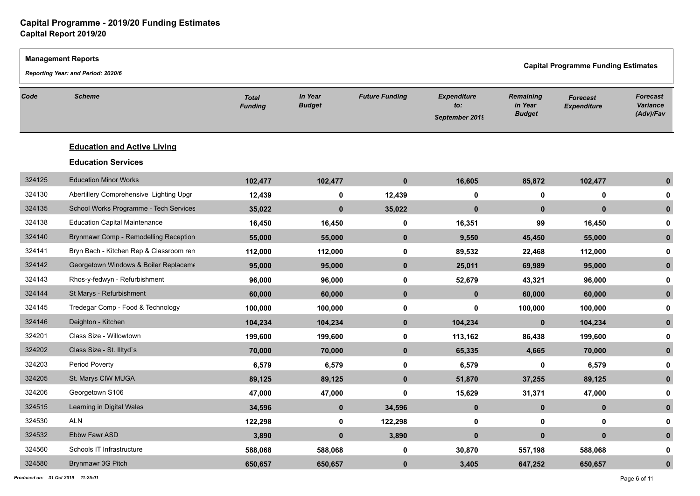|        | <b>Management Reports</b>                                                        |                                |                          |                       |                                             |                                       |                                       |                                          |  |  |
|--------|----------------------------------------------------------------------------------|--------------------------------|--------------------------|-----------------------|---------------------------------------------|---------------------------------------|---------------------------------------|------------------------------------------|--|--|
|        | <b>Capital Programme Funding Estimates</b><br>Reporting Year: and Period: 2020/6 |                                |                          |                       |                                             |                                       |                                       |                                          |  |  |
| Code   | <b>Scheme</b>                                                                    | <b>Total</b><br><b>Funding</b> | In Year<br><b>Budget</b> | <b>Future Funding</b> | <b>Expenditure</b><br>to:<br>September 2019 | Remaining<br>in Year<br><b>Budget</b> | <b>Forecast</b><br><b>Expenditure</b> | <b>Forecast</b><br>Variance<br>(Adv)/Fav |  |  |
|        | <b>Education and Active Living</b>                                               |                                |                          |                       |                                             |                                       |                                       |                                          |  |  |
|        | <b>Education Services</b>                                                        |                                |                          |                       |                                             |                                       |                                       |                                          |  |  |
| 324125 | <b>Education Minor Works</b>                                                     | 102,477                        | 102,477                  | $\mathbf 0$           | 16,605                                      | 85,872                                | 102,477                               | $\mathbf{0}$                             |  |  |
| 324130 | Abertillery Comprehensive Lighting Upgr                                          | 12,439                         | 0                        | 12,439                | 0                                           | 0                                     | 0                                     | 0                                        |  |  |
| 324135 | School Works Programme - Tech Services                                           | 35,022                         | $\mathbf 0$              | 35,022                | $\mathbf 0$                                 | $\mathbf 0$                           | $\mathbf{0}$                          | $\mathbf{0}$                             |  |  |
| 324138 | <b>Education Capital Maintenance</b>                                             | 16,450                         | 16,450                   | 0                     | 16,351                                      | 99                                    | 16,450                                | 0                                        |  |  |
| 324140 | Brynmawr Comp - Remodelling Reception                                            | 55,000                         | 55,000                   | $\mathbf 0$           | 9,550                                       | 45,450                                | 55,000                                | $\mathbf{0}$                             |  |  |
| 324141 | Bryn Bach - Kitchen Rep & Classroom ren                                          | 112,000                        | 112,000                  | $\mathbf 0$           | 89,532                                      | 22,468                                | 112,000                               | 0                                        |  |  |
| 324142 | Georgetown Windows & Boiler Replaceme                                            | 95,000                         | 95,000                   | $\mathbf 0$           | 25,011                                      | 69,989                                | 95,000                                | $\mathbf{0}$                             |  |  |
| 324143 | Rhos-y-fedwyn - Refurbishment                                                    | 96,000                         | 96,000                   | $\mathbf 0$           | 52,679                                      | 43,321                                | 96,000                                | 0                                        |  |  |
| 324144 | St Marys - Refurbishment                                                         | 60,000                         | 60,000                   | $\mathbf 0$           | $\mathbf{0}$                                | 60,000                                | 60,000                                | $\mathbf{0}$                             |  |  |
| 324145 | Tredegar Comp - Food & Technology                                                | 100,000                        | 100,000                  | $\mathbf 0$           | 0                                           | 100,000                               | 100,000                               | 0                                        |  |  |
| 324146 | Deighton - Kitchen                                                               | 104,234                        | 104,234                  | $\mathbf 0$           | 104,234                                     | $\mathbf{0}$                          | 104,234                               | $\mathbf{0}$                             |  |  |
| 324201 | Class Size - Willowtown                                                          | 199,600                        | 199,600                  | $\mathbf 0$           | 113,162                                     | 86,438                                | 199,600                               | 0                                        |  |  |
| 324202 | Class Size - St. Illtyd's                                                        | 70,000                         | 70,000                   | $\mathbf{0}$          | 65,335                                      | 4,665                                 | 70,000                                | $\mathbf{0}$                             |  |  |
| 324203 | Period Poverty                                                                   | 6,579                          | 6,579                    | 0                     | 6,579                                       | 0                                     | 6,579                                 | 0                                        |  |  |
| 324205 | St. Marys CIW MUGA                                                               | 89,125                         | 89,125                   | $\mathbf{0}$          | 51,870                                      | 37,255                                | 89,125                                | $\mathbf{0}$                             |  |  |
| 324206 | Georgetown S106                                                                  | 47,000                         | 47,000                   | $\mathbf 0$           | 15,629                                      | 31,371                                | 47,000                                | 0                                        |  |  |
| 324515 | Learning in Digital Wales                                                        | 34,596                         | $\mathbf 0$              | 34,596                | $\mathbf{0}$                                | $\mathbf{0}$                          | $\mathbf 0$                           | $\mathbf{0}$                             |  |  |
| 324530 | <b>ALN</b>                                                                       | 122,298                        | 0                        | 122,298               | 0                                           | $\mathbf 0$                           | $\mathbf 0$                           | 0                                        |  |  |
| 324532 | Ebbw Fawr ASD                                                                    | 3,890                          | $\mathbf 0$              | 3,890                 | $\mathbf{0}$                                | $\mathbf{0}$                          | $\mathbf{0}$                          | $\bf{0}$                                 |  |  |
| 324560 | Schools IT Infrastructure                                                        | 588,068                        | 588,068                  | 0                     | 30,870                                      | 557,198                               | 588,068                               | ŋ                                        |  |  |
| 324580 | Brynmawr 3G Pitch                                                                | 650,657                        | 650,657                  | $\mathbf{0}$          | 3,405                                       | 647,252                               | 650,657                               | $\bf{0}$                                 |  |  |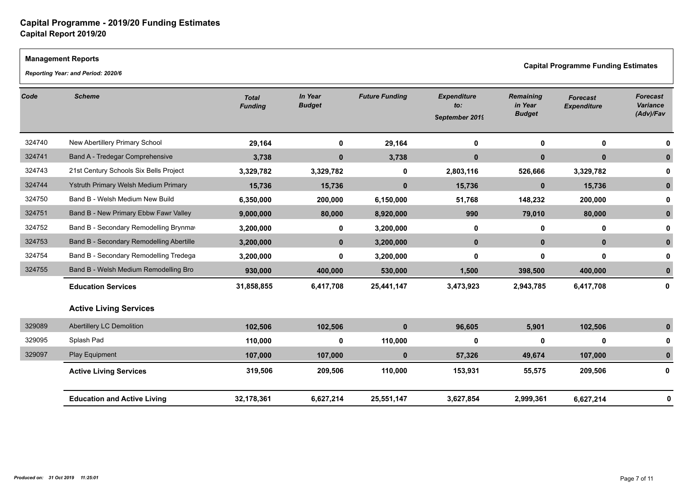#### **Management Reports**

*Reporting Year: and Period: 2020/6*

**Capital Programme Funding Estimates** 

| Code   | <b>Scheme</b>                            | <b>Total</b><br><b>Funding</b> | In Year<br><b>Budget</b> | <b>Future Funding</b> | <b>Expenditure</b><br>to:<br>September 2019 | <b>Remaining</b><br>in Year<br><b>Budget</b> | <b>Forecast</b><br><b>Expenditure</b> | <b>Forecast</b><br>Variance<br>(Adv)/Fav |
|--------|------------------------------------------|--------------------------------|--------------------------|-----------------------|---------------------------------------------|----------------------------------------------|---------------------------------------|------------------------------------------|
| 324740 | New Abertillery Primary School           | 29,164                         | 0                        | 29,164                | 0                                           | 0                                            | $\mathbf 0$                           |                                          |
| 324741 | Band A - Tredegar Comprehensive          | 3,738                          | $\mathbf{0}$             | 3,738                 | $\mathbf{0}$                                | $\bf{0}$                                     | $\mathbf{0}$                          |                                          |
| 324743 | 21st Century Schools Six Bells Project   | 3,329,782                      | 3,329,782                | 0                     | 2,803,116                                   | 526,666                                      | 3,329,782                             |                                          |
| 324744 | Ystruth Primary Welsh Medium Primary     | 15,736                         | 15,736                   | $\bf{0}$              | 15,736                                      | $\mathbf{0}$                                 | 15,736                                |                                          |
| 324750 | Band B - Welsh Medium New Build          | 6,350,000                      | 200,000                  | 6,150,000             | 51,768                                      | 148,232                                      | 200,000                               |                                          |
| 324751 | Band B - New Primary Ebbw Fawr Valley    | 9,000,000                      | 80,000                   | 8,920,000             | 990                                         | 79,010                                       | 80,000                                |                                          |
| 324752 | Band B - Secondary Remodelling Brynmay   | 3,200,000                      | 0                        | 3,200,000             | $\mathbf 0$                                 | 0                                            | $\mathbf 0$                           |                                          |
| 324753 | Band B - Secondary Remodelling Abertille | 3,200,000                      | $\mathbf 0$              | 3,200,000             | $\mathbf{0}$                                | $\mathbf 0$                                  | $\mathbf 0$                           |                                          |
| 324754 | Band B - Secondary Remodelling Tredega   | 3,200,000                      | $\Omega$                 | 3,200,000             | 0                                           | 0                                            | $\mathbf{0}$                          |                                          |
| 324755 | Band B - Welsh Medium Remodelling Bro    | 930,000                        | 400,000                  | 530,000               | 1,500                                       | 398,500                                      | 400,000                               |                                          |
|        | <b>Education Services</b>                | 31,858,855                     | 6,417,708                | 25,441,147            | 3,473,923                                   | 2,943,785                                    | 6,417,708                             | 0                                        |
|        | <b>Active Living Services</b>            |                                |                          |                       |                                             |                                              |                                       |                                          |
| 329089 | Abertillery LC Demolition                | 102,506                        | 102,506                  | $\bf{0}$              | 96,605                                      | 5,901                                        | 102,506                               |                                          |
| 329095 | Splash Pad                               | 110,000                        | 0                        | 110,000               | 0                                           | 0                                            | $\mathbf{0}$                          |                                          |
| 329097 | Play Equipment                           | 107,000                        | 107,000                  | $\bf{0}$              | 57,326                                      | 49,674                                       | 107,000                               |                                          |
|        | <b>Active Living Services</b>            | 319,506                        | 209,506                  | 110,000               | 153,931                                     | 55,575                                       | 209,506                               | 0                                        |
|        | <b>Education and Active Living</b>       | 32,178,361                     | 6,627,214                | 25,551,147            | 3,627,854                                   | 2,999,361                                    | 6,627,214                             |                                          |
|        |                                          |                                |                          |                       |                                             |                                              |                                       |                                          |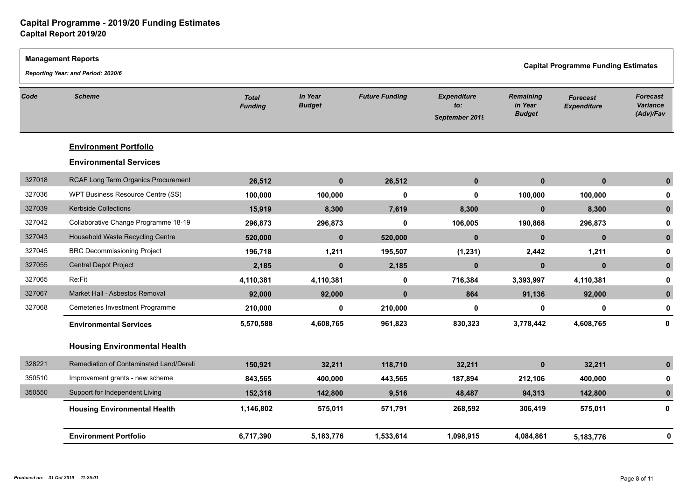|        | <b>Management Reports</b><br>Reporting Year: and Period: 2020/6 |                                |                                 |                       |                                             |                                              | <b>Capital Programme Funding Estimates</b> |                                          |
|--------|-----------------------------------------------------------------|--------------------------------|---------------------------------|-----------------------|---------------------------------------------|----------------------------------------------|--------------------------------------------|------------------------------------------|
| Code   | <b>Scheme</b>                                                   | <b>Total</b><br><b>Funding</b> | <b>In Year</b><br><b>Budget</b> | <b>Future Funding</b> | <b>Expenditure</b><br>to:<br>September 2019 | <b>Remaining</b><br>in Year<br><b>Budget</b> | <b>Forecast</b><br><b>Expenditure</b>      | <b>Forecast</b><br>Variance<br>(Adv)/Fav |
|        | <b>Environment Portfolio</b>                                    |                                |                                 |                       |                                             |                                              |                                            |                                          |
|        | <b>Environmental Services</b>                                   |                                |                                 |                       |                                             |                                              |                                            |                                          |
| 327018 | RCAF Long Term Organics Procurement                             | 26,512                         | $\mathbf{0}$                    | 26,512                | $\mathbf{0}$                                | $\mathbf{0}$                                 | $\mathbf{0}$                               | $\mathbf{0}$                             |
| 327036 | WPT Business Resource Centre (SS)                               | 100,000                        | 100,000                         | $\mathbf 0$           | 0                                           | 100,000                                      | 100,000                                    | 0                                        |
| 327039 | Kerbside Collections                                            | 15,919                         | 8,300                           | 7,619                 | 8,300                                       | $\mathbf{0}$                                 | 8,300                                      | $\bf{0}$                                 |
| 327042 | Collaborative Change Programme 18-19                            | 296,873                        | 296,873                         | $\mathbf 0$           | 106,005                                     | 190,868                                      | 296,873                                    |                                          |
| 327043 | Household Waste Recycling Centre                                | 520,000                        | $\mathbf{0}$                    | 520,000               | $\mathbf{0}$                                | $\mathbf{0}$                                 | $\mathbf{0}$                               | $\mathbf{0}$                             |
| 327045 | <b>BRC Decommissioning Project</b>                              | 196,718                        | 1,211                           | 195,507               | (1, 231)                                    | 2,442                                        | 1,211                                      | 0                                        |
| 327055 | Central Depot Project                                           | 2,185                          | $\mathbf{0}$                    | 2,185                 | $\mathbf{0}$                                | $\mathbf{0}$                                 | $\mathbf{0}$                               | $\mathbf{0}$                             |
| 327065 | Re:Fit                                                          | 4,110,381                      | 4,110,381                       | $\mathbf 0$           | 716,384                                     | 3,393,997                                    | 4,110,381                                  | 0                                        |
| 327067 | Market Hall - Asbestos Removal                                  | 92,000                         | 92,000                          | $\mathbf 0$           | 864                                         | 91,136                                       | 92,000                                     | $\mathbf{0}$                             |
| 327068 | Cemeteries Investment Programme                                 | 210,000                        | $\mathbf{0}$                    | 210,000               | 0                                           | 0                                            | $\mathbf 0$                                | 0                                        |
|        | <b>Environmental Services</b>                                   | 5,570,588                      | 4,608,765                       | 961,823               | 830,323                                     | 3,778,442                                    | 4,608,765                                  | 0                                        |
|        | <b>Housing Environmental Health</b>                             |                                |                                 |                       |                                             |                                              |                                            |                                          |
| 328221 | Remediation of Contaminated Land/Dereli                         | 150,921                        | 32,211                          | 118,710               | 32,211                                      | $\mathbf 0$                                  | 32,211                                     | $\mathbf{0}$                             |
| 350510 | Improvement grants - new scheme                                 | 843,565                        | 400,000                         | 443,565               | 187,894                                     | 212,106                                      | 400,000                                    | 0                                        |
| 350550 | Support for Independent Living                                  | 152,316                        | 142,800                         | 9,516                 | 48,487                                      | 94,313                                       | 142,800                                    | $\mathbf{0}$                             |
|        | <b>Housing Environmental Health</b>                             | 1,146,802                      | 575,011                         | 571,791               | 268,592                                     | 306,419                                      | 575,011                                    | 0                                        |
|        | <b>Environment Portfolio</b>                                    | 6,717,390                      | 5,183,776                       | 1,533,614             | 1,098,915                                   | 4,084,861                                    | 5,183,776                                  | O                                        |
|        |                                                                 |                                |                                 |                       |                                             |                                              |                                            |                                          |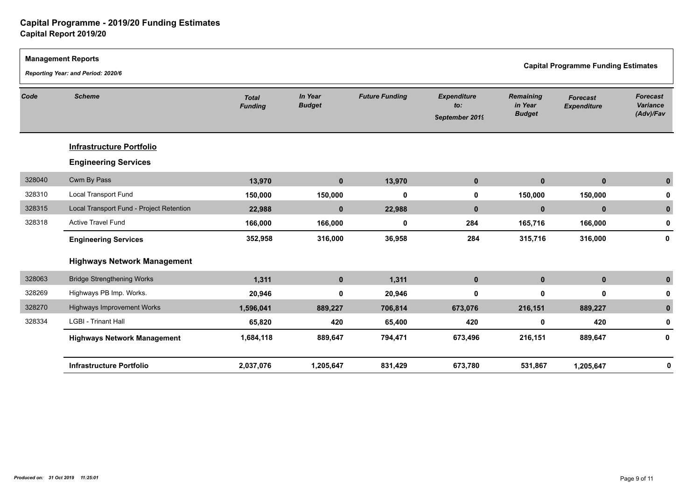|        | <b>Management Reports</b><br>Reporting Year: and Period: 2020/6 |                                |                          |                       |                                             |                                       | <b>Capital Programme Funding Estimates</b> |                                          |
|--------|-----------------------------------------------------------------|--------------------------------|--------------------------|-----------------------|---------------------------------------------|---------------------------------------|--------------------------------------------|------------------------------------------|
| Code   | <b>Scheme</b>                                                   | <b>Total</b><br><b>Funding</b> | In Year<br><b>Budget</b> | <b>Future Funding</b> | <b>Expenditure</b><br>to:<br>September 2019 | Remaining<br>in Year<br><b>Budget</b> | <b>Forecast</b><br><b>Expenditure</b>      | <b>Forecast</b><br>Variance<br>(Adv)/Fav |
|        | <b>Infrastructure Portfolio</b>                                 |                                |                          |                       |                                             |                                       |                                            |                                          |
|        | <b>Engineering Services</b>                                     |                                |                          |                       |                                             |                                       |                                            |                                          |
| 328040 | Cwm By Pass                                                     | 13,970                         | $\mathbf 0$              | 13,970                | $\mathbf{0}$                                | $\mathbf{0}$                          | $\mathbf{0}$                               |                                          |
| 328310 | Local Transport Fund                                            | 150,000                        | 150,000                  | $\mathbf 0$           | 0                                           | 150,000                               | 150,000                                    |                                          |
| 328315 | Local Transport Fund - Project Retention                        | 22,988                         | $\mathbf 0$              | 22,988                | $\mathbf{0}$                                | $\mathbf{0}$                          | $\mathbf{0}$                               | $\bf{0}$                                 |
| 328318 | Active Travel Fund                                              | 166,000                        | 166,000                  | 0                     | 284                                         | 165,716                               | 166,000                                    | 0                                        |
|        | <b>Engineering Services</b>                                     | 352,958                        | 316,000                  | 36,958                | 284                                         | 315,716                               | 316,000                                    | 0                                        |
|        | <b>Highways Network Management</b>                              |                                |                          |                       |                                             |                                       |                                            |                                          |
| 328063 | <b>Bridge Strengthening Works</b>                               | 1,311                          | $\mathbf 0$              | 1,311                 | $\mathbf 0$                                 | $\mathbf 0$                           | $\mathbf 0$                                |                                          |
| 328269 | Highways PB Imp. Works.                                         | 20,946                         | $\mathbf 0$              | 20,946                | 0                                           | 0                                     | $\mathbf 0$                                |                                          |
| 328270 | Highways Improvement Works                                      | 1,596,041                      | 889,227                  | 706,814               | 673,076                                     | 216,151                               | 889,227                                    |                                          |
| 328334 | <b>LGBI - Trinant Hall</b>                                      | 65,820                         | 420                      | 65,400                | 420                                         | 0                                     | 420                                        | 0                                        |
|        | <b>Highways Network Management</b>                              | 1,684,118                      | 889,647                  | 794,471               | 673,496                                     | 216,151                               | 889,647                                    | 0                                        |
|        | <b>Infrastructure Portfolio</b>                                 | 2,037,076                      | 1,205,647                | 831,429               | 673,780                                     | 531,867                               | 1,205,647                                  | 0                                        |
|        |                                                                 |                                |                          |                       |                                             |                                       |                                            |                                          |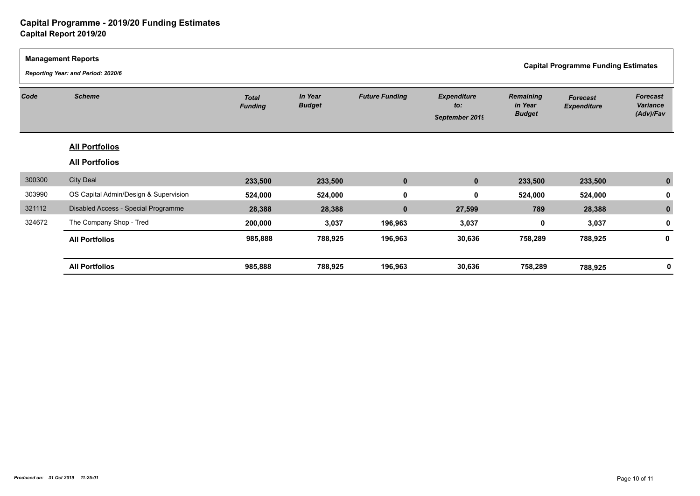|        | <b>Management Reports</b><br>Reporting Year: and Period: 2020/6 |                                |                          |                       |                                             | <b>Capital Programme Funding Estimates</b>   |                                       |                                          |  |
|--------|-----------------------------------------------------------------|--------------------------------|--------------------------|-----------------------|---------------------------------------------|----------------------------------------------|---------------------------------------|------------------------------------------|--|
| Code   | <b>Scheme</b>                                                   | <b>Total</b><br><b>Funding</b> | In Year<br><b>Budget</b> | <b>Future Funding</b> | <b>Expenditure</b><br>to:<br>September 2019 | <b>Remaining</b><br>in Year<br><b>Budget</b> | <b>Forecast</b><br><b>Expenditure</b> | <b>Forecast</b><br>Variance<br>(Adv)/Fav |  |
|        | <b>All Portfolios</b>                                           |                                |                          |                       |                                             |                                              |                                       |                                          |  |
|        | <b>All Portfolios</b>                                           |                                |                          |                       |                                             |                                              |                                       |                                          |  |
| 300300 | <b>City Deal</b>                                                | 233,500                        | 233,500                  | $\mathbf 0$           | $\mathbf{0}$                                | 233,500                                      | 233,500                               |                                          |  |
| 303990 | OS Capital Admin/Design & Supervision                           | 524,000                        | 524,000                  | $\mathbf 0$           | $\mathbf 0$                                 | 524,000                                      | 524,000                               |                                          |  |
| 321112 | Disabled Access - Special Programme                             | 28,388                         | 28,388                   | $\mathbf 0$           | 27,599                                      | 789                                          | 28,388                                |                                          |  |
| 324672 | The Company Shop - Tred                                         | 200,000                        | 3,037                    | 196,963               | 3,037                                       | $\mathbf 0$                                  | 3,037                                 | U                                        |  |
|        | <b>All Portfolios</b>                                           | 985,888                        | 788,925                  | 196,963               | 30,636                                      | 758,289                                      | 788,925                               | 0                                        |  |
|        | <b>All Portfolios</b>                                           | 985,888                        | 788,925                  | 196,963               | 30,636                                      | 758,289                                      | 788,925                               |                                          |  |